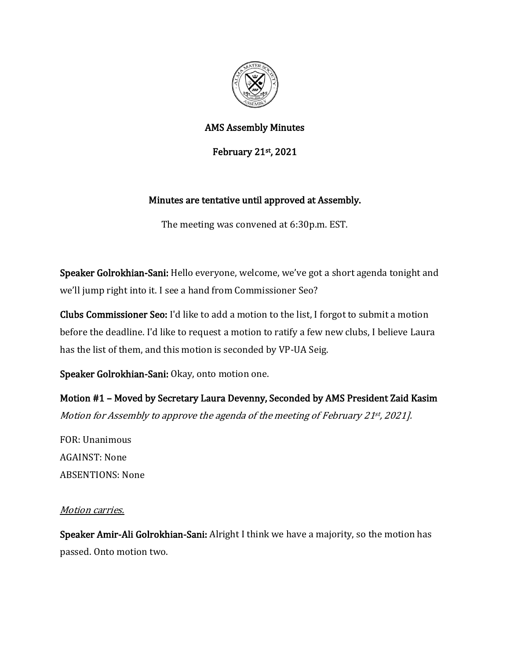

## AMS Assembly Minutes

February 21st, 2021

# Minutes are tentative until approved at Assembly.

The meeting was convened at 6:30p.m. EST.

Speaker Golrokhian-Sani: Hello everyone, welcome, we've got a short agenda tonight and we'll jump right into it. I see a hand from Commissioner Seo?

Clubs Commissioner Seo: I'd like to add a motion to the list, I forgot to submit a motion before the deadline. I'd like to request a motion to ratify a few new clubs, I believe Laura has the list of them, and this motion is seconded by VP-UA Seig.

Speaker Golrokhian-Sani: Okay, onto motion one.

Motion #1 – Moved by Secretary Laura Devenny, Seconded by AMS President Zaid Kasim Motion for Assembly to approve the agenda of the meeting of February 21st , 2021].

FOR: Unanimous AGAINST: None ABSENTIONS: None

### Motion carries.

Speaker Amir-Ali Golrokhian-Sani: Alright I think we have a majority, so the motion has passed. Onto motion two.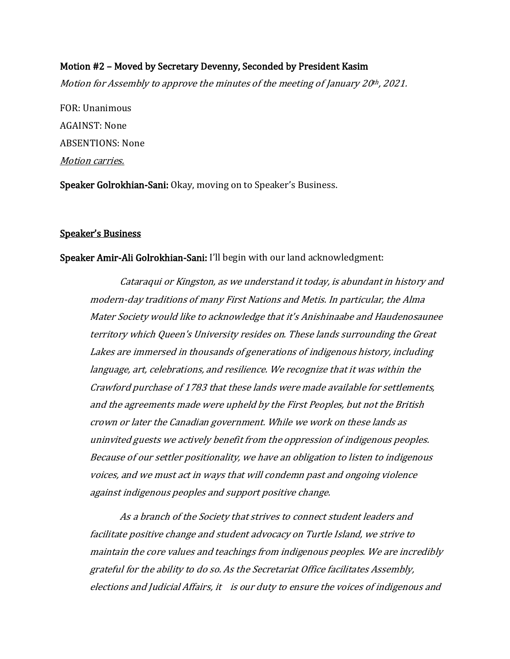### Motion #2 – Moved by Secretary Devenny, Seconded by President Kasim

Motion for Assembly to approve the minutes of the meeting of January 20<sup>th</sup>, 2021.

FOR: Unanimous AGAINST: None ABSENTIONS: None Motion carries.

Speaker Golrokhian-Sani: Okay, moving on to Speaker's Business.

#### Speaker's Business

#### Speaker Amir-Ali Golrokhian-Sani: I'll begin with our land acknowledgment:

Cataraqui or Kingston, as we understand it today, is abundant in history and modern-day traditions of many First Nations and Metis. In particular, the Alma Mater Society would like to acknowledge that it's Anishinaabe and Haudenosaunee territory which Queen's University resides on. These lands surrounding the Great Lakes are immersed in thousands of generations of indigenous history, including language, art, celebrations, and resilience. We recognize that it was within the Crawford purchase of 1783 that these lands were made available for settlements, and the agreements made were upheld by the First Peoples, but not the British crown or later the Canadian government. While we work on these lands as uninvited guests we actively benefit from the oppression of indigenous peoples. Because of our settler positionality, we have an obligation to listen to indigenous voices, and we must act in ways that will condemn past and ongoing violence against indigenous peoples and support positive change.

As a branch of the Society that strives to connect student leaders and facilitate positive change and student advocacy on Turtle Island, we strive to maintain the core values and teachings from indigenous peoples. We are incredibly grateful for the ability to do so. As the Secretariat Office facilitates Assembly, elections and Judicial Affairs, it is our duty to ensure the voices of indigenous and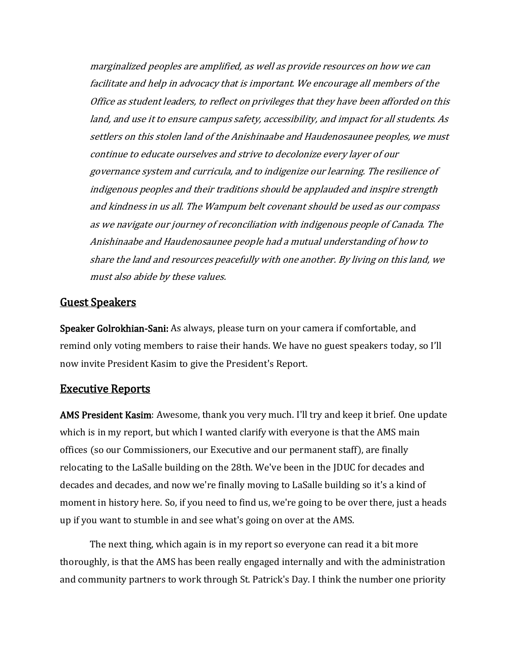marginalized peoples are amplified, as well as provide resources on how we can facilitate and help in advocacy that is important. We encourage all members of the Office as student leaders, to reflect on privileges that they have been afforded on this land, and use it to ensure campus safety, accessibility, and impact for all students. As settlers on this stolen land of the Anishinaabe and Haudenosaunee peoples, we must continue to educate ourselves and strive to decolonize every layer of our governance system and curricula, and to indigenize our learning. The resilience of indigenous peoples and their traditions should be applauded and inspire strength and kindness in us all. The Wampum belt covenant should be used as our compass as we navigate our journey of reconciliation with indigenous people of Canada. The Anishinaabe and Haudenosaunee people had a mutual understanding of how to share the land and resources peacefully with one another. By living on this land, we must also abide by these values.

### Guest Speakers

Speaker Golrokhian-Sani: As always, please turn on your camera if comfortable, and remind only voting members to raise their hands. We have no guest speakers today, so I'll now invite President Kasim to give the President's Report.

#### Executive Reports

AMS President Kasim: Awesome, thank you very much. I'll try and keep it brief. One update which is in my report, but which I wanted clarify with everyone is that the AMS main offices (so our Commissioners, our Executive and our permanent staff), are finally relocating to the LaSalle building on the 28th. We've been in the JDUC for decades and decades and decades, and now we're finally moving to LaSalle building so it's a kind of moment in history here. So, if you need to find us, we're going to be over there, just a heads up if you want to stumble in and see what's going on over at the AMS.

The next thing, which again is in my report so everyone can read it a bit more thoroughly, is that the AMS has been really engaged internally and with the administration and community partners to work through St. Patrick's Day. I think the number one priority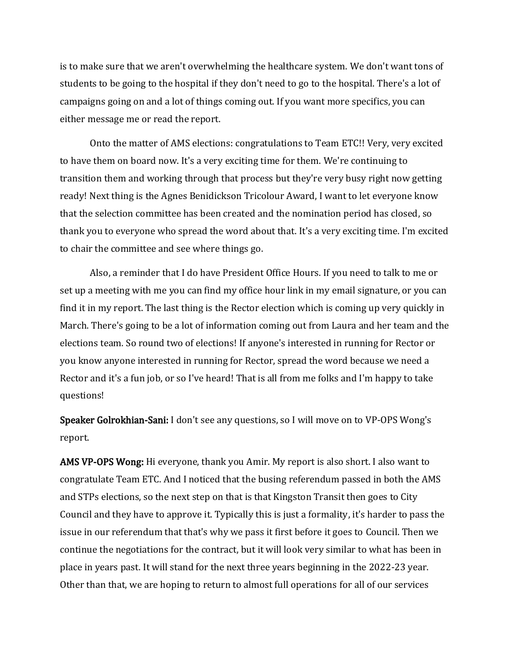is to make sure that we aren't overwhelming the healthcare system. We don't want tons of students to be going to the hospital if they don't need to go to the hospital. There's a lot of campaigns going on and a lot of things coming out. If you want more specifics, you can either message me or read the report.

Onto the matter of AMS elections: congratulations to Team ETC!! Very, very excited to have them on board now. It's a very exciting time for them. We're continuing to transition them and working through that process but they're very busy right now getting ready! Next thing is the Agnes Benidickson Tricolour Award, I want to let everyone know that the selection committee has been created and the nomination period has closed, so thank you to everyone who spread the word about that. It's a very exciting time. I'm excited to chair the committee and see where things go.

Also, a reminder that I do have President Office Hours. If you need to talk to me or set up a meeting with me you can find my office hour link in my email signature, or you can find it in my report. The last thing is the Rector election which is coming up very quickly in March. There's going to be a lot of information coming out from Laura and her team and the elections team. So round two of elections! If anyone's interested in running for Rector or you know anyone interested in running for Rector, spread the word because we need a Rector and it's a fun job, or so I've heard! That is all from me folks and I'm happy to take questions!

Speaker Golrokhian-Sani: I don't see any questions, so I will move on to VP-OPS Wong's report.

AMS VP-OPS Wong: Hi everyone, thank you Amir. My report is also short. I also want to congratulate Team ETC. And I noticed that the busing referendum passed in both the AMS and STPs elections, so the next step on that is that Kingston Transit then goes to City Council and they have to approve it. Typically this is just a formality, it's harder to pass the issue in our referendum that that's why we pass it first before it goes to Council. Then we continue the negotiations for the contract, but it will look very similar to what has been in place in years past. It will stand for the next three years beginning in the 2022-23 year. Other than that, we are hoping to return to almost full operations for all of our services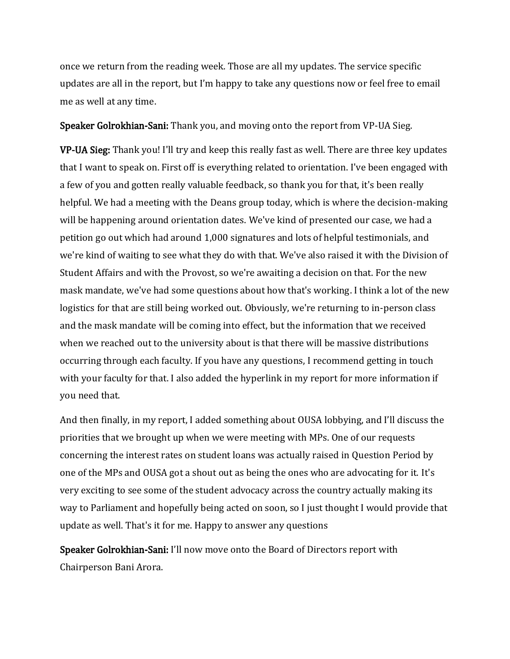once we return from the reading week. Those are all my updates. The service specific updates are all in the report, but I'm happy to take any questions now or feel free to email me as well at any time.

Speaker Golrokhian-Sani: Thank you, and moving onto the report from VP-UA Sieg.

VP-UA Sieg: Thank you! I'll try and keep this really fast as well. There are three key updates that I want to speak on. First off is everything related to orientation. I've been engaged with a few of you and gotten really valuable feedback, so thank you for that, it's been really helpful. We had a meeting with the Deans group today, which is where the decision-making will be happening around orientation dates. We've kind of presented our case, we had a petition go out which had around 1,000 signatures and lots of helpful testimonials, and we're kind of waiting to see what they do with that. We've also raised it with the Division of Student Affairs and with the Provost, so we're awaiting a decision on that. For the new mask mandate, we've had some questions about how that's working. I think a lot of the new logistics for that are still being worked out. Obviously, we're returning to in-person class and the mask mandate will be coming into effect, but the information that we received when we reached out to the university about is that there will be massive distributions occurring through each faculty. If you have any questions, I recommend getting in touch with your faculty for that. I also added the hyperlink in my report for more information if you need that.

And then finally, in my report, I added something about OUSA lobbying, and I'll discuss the priorities that we brought up when we were meeting with MPs. One of our requests concerning the interest rates on student loans was actually raised in Question Period by one of the MPs and OUSA got a shout out as being the ones who are advocating for it. It's very exciting to see some of the student advocacy across the country actually making its way to Parliament and hopefully being acted on soon, so I just thought I would provide that update as well. That's it for me. Happy to answer any questions

Speaker Golrokhian-Sani: I'll now move onto the Board of Directors report with Chairperson Bani Arora.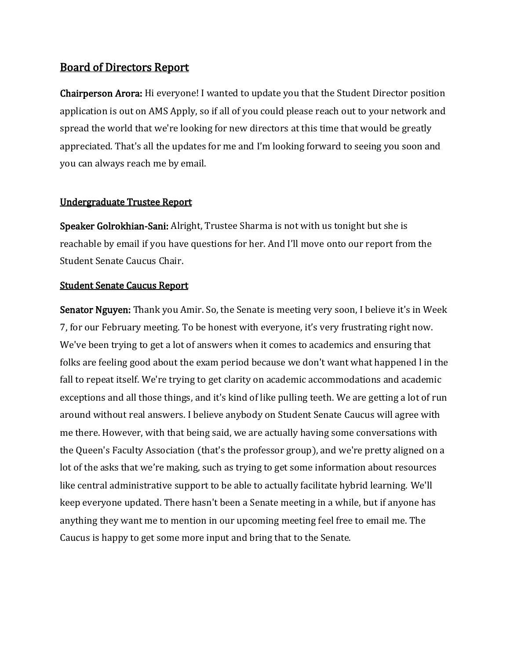# Board of Directors Report

Chairperson Arora: Hi everyone! I wanted to update you that the Student Director position application is out on AMS Apply, so if all of you could please reach out to your network and spread the world that we're looking for new directors at this time that would be greatly appreciated. That's all the updates for me and I'm looking forward to seeing you soon and you can always reach me by email.

#### Undergraduate Trustee Report

Speaker Golrokhian-Sani: Alright, Trustee Sharma is not with us tonight but she is reachable by email if you have questions for her. And I'll move onto our report from the Student Senate Caucus Chair.

#### Student Senate Caucus Report

Senator Nguyen: Thank you Amir. So, the Senate is meeting very soon, I believe it's in Week 7, for our February meeting. To be honest with everyone, it's very frustrating right now. We've been trying to get a lot of answers when it comes to academics and ensuring that folks are feeling good about the exam period because we don't want what happened l in the fall to repeat itself. We're trying to get clarity on academic accommodations and academic exceptions and all those things, and it's kind of like pulling teeth. We are getting a lot of run around without real answers. I believe anybody on Student Senate Caucus will agree with me there. However, with that being said, we are actually having some conversations with the Queen's Faculty Association (that's the professor group), and we're pretty aligned on a lot of the asks that we're making, such as trying to get some information about resources like central administrative support to be able to actually facilitate hybrid learning. We'll keep everyone updated. There hasn't been a Senate meeting in a while, but if anyone has anything they want me to mention in our upcoming meeting feel free to email me. The Caucus is happy to get some more input and bring that to the Senate.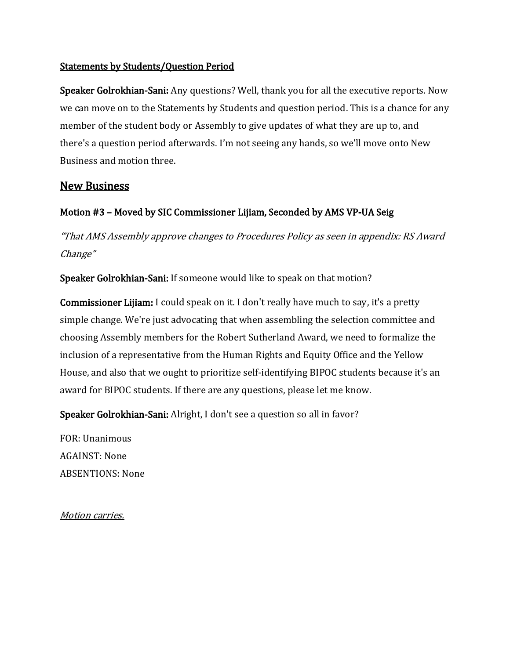### Statements by Students/Question Period

Speaker Golrokhian-Sani: Any questions? Well, thank you for all the executive reports. Now we can move on to the Statements by Students and question period. This is a chance for any member of the student body or Assembly to give updates of what they are up to, and there's a question period afterwards. I'm not seeing any hands, so we'll move onto New Business and motion three.

# New Business

# Motion #3 – Moved by SIC Commissioner Lijiam, Seconded by AMS VP-UA Seig

"That AMS Assembly approve changes to Procedures Policy as seen in appendix: RS Award Change"

Speaker Golrokhian-Sani: If someone would like to speak on that motion?

Commissioner Lijiam: I could speak on it. I don't really have much to say, it's a pretty simple change. We're just advocating that when assembling the selection committee and choosing Assembly members for the Robert Sutherland Award, we need to formalize the inclusion of a representative from the Human Rights and Equity Office and the Yellow House, and also that we ought to prioritize self-identifying BIPOC students because it's an award for BIPOC students. If there are any questions, please let me know.

Speaker Golrokhian-Sani: Alright, I don't see a question so all in favor?

FOR: Unanimous AGAINST: None ABSENTIONS: None

Motion carries.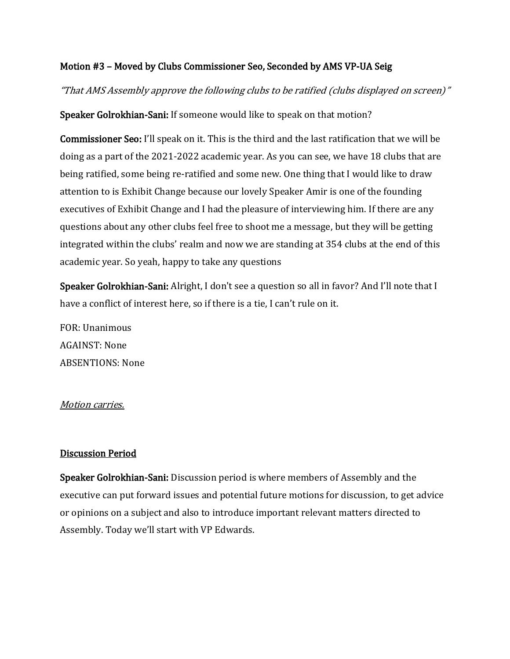### Motion #3 – Moved by Clubs Commissioner Seo, Seconded by AMS VP-UA Seig

"That AMS Assembly approve the following clubs to be ratified (clubs displayed on screen)"

Speaker Golrokhian-Sani: If someone would like to speak on that motion?

Commissioner Seo: I'll speak on it. This is the third and the last ratification that we will be doing as a part of the 2021-2022 academic year. As you can see, we have 18 clubs that are being ratified, some being re-ratified and some new. One thing that I would like to draw attention to is Exhibit Change because our lovely Speaker Amir is one of the founding executives of Exhibit Change and I had the pleasure of interviewing him. If there are any questions about any other clubs feel free to shoot me a message, but they will be getting integrated within the clubs' realm and now we are standing at 354 clubs at the end of this academic year. So yeah, happy to take any questions

Speaker Golrokhian-Sani: Alright, I don't see a question so all in favor? And I'll note that I have a conflict of interest here, so if there is a tie, I can't rule on it.

FOR: Unanimous AGAINST: None ABSENTIONS: None

#### Motion carries.

#### Discussion Period

Speaker Golrokhian-Sani: Discussion period is where members of Assembly and the executive can put forward issues and potential future motions for discussion, to get advice or opinions on a subject and also to introduce important relevant matters directed to Assembly. Today we'll start with VP Edwards.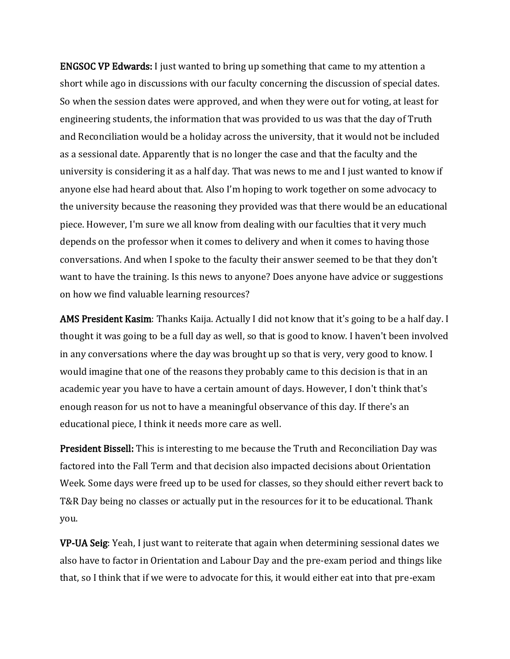ENGSOC VP Edwards: I just wanted to bring up something that came to my attention a short while ago in discussions with our faculty concerning the discussion of special dates. So when the session dates were approved, and when they were out for voting, at least for engineering students, the information that was provided to us was that the day of Truth and Reconciliation would be a holiday across the university, that it would not be included as a sessional date. Apparently that is no longer the case and that the faculty and the university is considering it as a half day. That was news to me and I just wanted to know if anyone else had heard about that. Also I'm hoping to work together on some advocacy to the university because the reasoning they provided was that there would be an educational piece. However, I'm sure we all know from dealing with our faculties that it very much depends on the professor when it comes to delivery and when it comes to having those conversations. And when I spoke to the faculty their answer seemed to be that they don't want to have the training. Is this news to anyone? Does anyone have advice or suggestions on how we find valuable learning resources?

AMS President Kasim: Thanks Kaija. Actually I did not know that it's going to be a half day. I thought it was going to be a full day as well, so that is good to know. I haven't been involved in any conversations where the day was brought up so that is very, very good to know. I would imagine that one of the reasons they probably came to this decision is that in an academic year you have to have a certain amount of days. However, I don't think that's enough reason for us not to have a meaningful observance of this day. If there's an educational piece, I think it needs more care as well.

President Bissell: This is interesting to me because the Truth and Reconciliation Day was factored into the Fall Term and that decision also impacted decisions about Orientation Week. Some days were freed up to be used for classes, so they should either revert back to T&R Day being no classes or actually put in the resources for it to be educational. Thank you.

VP-UA Seig: Yeah, I just want to reiterate that again when determining sessional dates we also have to factor in Orientation and Labour Day and the pre-exam period and things like that, so I think that if we were to advocate for this, it would either eat into that pre-exam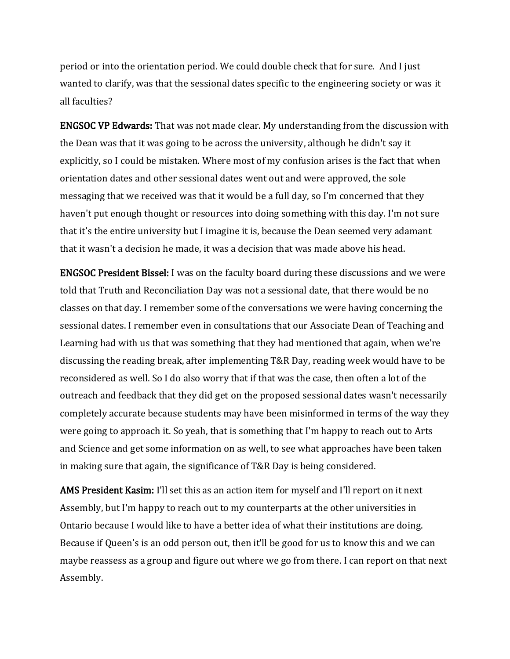period or into the orientation period. We could double check that for sure. And I just wanted to clarify, was that the sessional dates specific to the engineering society or was it all faculties?

ENGSOC VP Edwards: That was not made clear. My understanding from the discussion with the Dean was that it was going to be across the university, although he didn't say it explicitly, so I could be mistaken. Where most of my confusion arises is the fact that when orientation dates and other sessional dates went out and were approved, the sole messaging that we received was that it would be a full day, so I'm concerned that they haven't put enough thought or resources into doing something with this day. I'm not sure that it's the entire university but I imagine it is, because the Dean seemed very adamant that it wasn't a decision he made, it was a decision that was made above his head.

ENGSOC President Bissel: I was on the faculty board during these discussions and we were told that Truth and Reconciliation Day was not a sessional date, that there would be no classes on that day. I remember some of the conversations we were having concerning the sessional dates. I remember even in consultations that our Associate Dean of Teaching and Learning had with us that was something that they had mentioned that again, when we're discussing the reading break, after implementing T&R Day, reading week would have to be reconsidered as well. So I do also worry that if that was the case, then often a lot of the outreach and feedback that they did get on the proposed sessional dates wasn't necessarily completely accurate because students may have been misinformed in terms of the way they were going to approach it. So yeah, that is something that I'm happy to reach out to Arts and Science and get some information on as well, to see what approaches have been taken in making sure that again, the significance of T&R Day is being considered.

AMS President Kasim: I'll set this as an action item for myself and I'll report on it next Assembly, but I'm happy to reach out to my counterparts at the other universities in Ontario because I would like to have a better idea of what their institutions are doing. Because if Queen's is an odd person out, then it'll be good for us to know this and we can maybe reassess as a group and figure out where we go from there. I can report on that next Assembly.